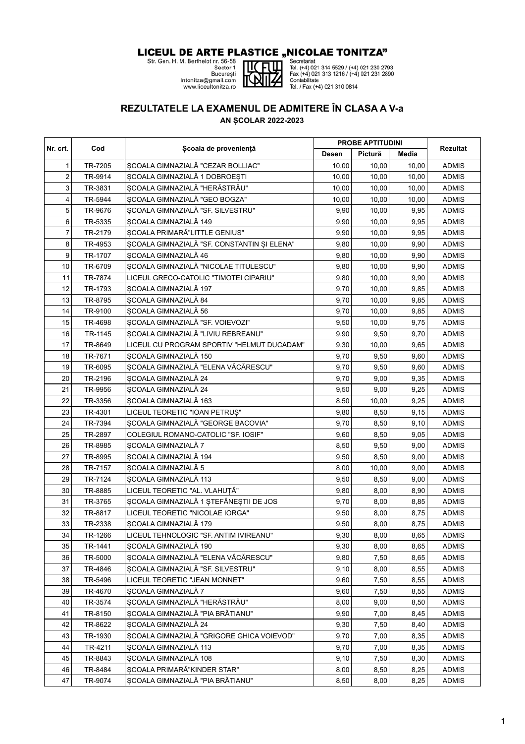## **LICEUL DE ARTE PLASTICE "NICOLAE TONITZA"**<br>Str. Gen. H. M. Berthelot nr. 56-58<br>Secretor 1<br>Secretor 1<br>Secretor 1<br>Secretor 1<br>District (+4) 021 314 5529 / (+4) 021 230 279<br>Intonitza@gmail.com<br>Intonitza.ro<br>Www.liceultonitza.





**EXECUTE:**<br>
Tel. (+4) 021 314 5529 / (+4) 021 230 2793<br>
Fax (+4) 021 313 1216 / (+4) 021 231 2890<br>
Contabilitate<br>
Tel. / Fax (+4) 021 310 0814

## **REZULTATELE LA EXAMENUL DE ADMITERE ÎN CLASA A V-a**

**AN ȘCOLAR 2022-2023**

|                         | Cod     | Scoala de proveniență                       | <b>PROBE APTITUDINI</b> |         |       |              |
|-------------------------|---------|---------------------------------------------|-------------------------|---------|-------|--------------|
| Nr. crt.                |         |                                             | Desen                   | Pictură | Media | Rezultat     |
| 1                       | TR-7205 | ȘCOALA GIMNAZIALĂ "CEZAR BOLLIAC"           | 10,00                   | 10,00   | 10,00 | <b>ADMIS</b> |
| $\overline{\mathbf{c}}$ | TR-9914 | ȘCOALA GIMNAZIALĂ 1 DOBROEȘTI               | 10,00                   | 10,00   | 10,00 | <b>ADMIS</b> |
| 3                       | TR-3831 | ȘCOALA GIMNAZIALĂ "HERĂSTRĂU"               | 10,00                   | 10,00   | 10,00 | <b>ADMIS</b> |
| 4                       | TR-5944 | SCOALA GIMNAZIALĂ "GEO BOGZA"               | 10,00                   | 10,00   | 10,00 | <b>ADMIS</b> |
| 5                       | TR-9676 | ȘCOALA GIMNAZIALĂ "SF. SILVESTRU"           | 9,90                    | 10,00   | 9,95  | <b>ADMIS</b> |
| 6                       | TR-5335 | ȘCOALA GIMNAZIALĂ 149                       | 9,90                    | 10,00   | 9,95  | <b>ADMIS</b> |
| $\overline{7}$          | TR-2179 | ȘCOALA PRIMARĂ"LITTLE GENIUS"               | 9,90                    | 10,00   | 9,95  | <b>ADMIS</b> |
| 8                       | TR-4953 | ȘCOALA GIMNAZIALĂ "SF. CONSTANTIN ȘI ELENA" | 9,80                    | 10,00   | 9,90  | <b>ADMIS</b> |
| 9                       | TR-1707 | SCOALA GIMNAZIALĂ 46                        | 9,80                    | 10,00   | 9,90  | <b>ADMIS</b> |
| 10                      | TR-6709 | ȘCOALA GIMNAZIALĂ "NICOLAE TITULESCU"       | 9,80                    | 10,00   | 9,90  | <b>ADMIS</b> |
| 11                      | TR-7874 | LICEUL GRECO-CATOLIC "TIMOTEI CIPARIU"      | 9,80                    | 10,00   | 9,90  | <b>ADMIS</b> |
| 12                      | TR-1793 | ȘCOALA GIMNAZIALĂ 197                       | 9,70                    | 10,00   | 9,85  | <b>ADMIS</b> |
| 13                      | TR-8795 | ȘCOALA GIMNAZIALĂ 84                        | 9,70                    | 10,00   | 9,85  | <b>ADMIS</b> |
| 14                      | TR-9100 | ȘCOALA GIMNAZIALĂ 56                        | 9,70                    | 10,00   | 9,85  | <b>ADMIS</b> |
| 15                      | TR-4698 | SCOALA GIMNAZIALĂ "SF. VOIEVOZI"            | 9,50                    | 10,00   | 9,75  | <b>ADMIS</b> |
| 16                      | TR-1145 | SCOALA GIMNAZIALĂ "LIVIU REBREANU"          | 9,90                    | 9,50    | 9,70  | <b>ADMIS</b> |
| 17                      | TR-8649 | LICEUL CU PROGRAM SPORTIV "HELMUT DUCADAM"  | 9,30                    | 10,00   | 9,65  | <b>ADMIS</b> |
| 18                      | TR-7671 | ȘCOALA GIMNAZIALĂ 150                       | 9,70                    | 9,50    | 9,60  | <b>ADMIS</b> |
| 19                      | TR-6095 | SCOALA GIMNAZIALĂ "ELENA VĂCĂRESCU"         | 9,70                    | 9,50    | 9,60  | <b>ADMIS</b> |
| 20                      | TR-2196 | ȘCOALA GIMNAZIALĂ 24                        | 9,70                    | 9,00    | 9,35  | <b>ADMIS</b> |
| 21                      | TR-9956 | SCOALA GIMNAZIALĂ 24                        | 9,50                    | 9,00    | 9,25  | <b>ADMIS</b> |
| 22                      | TR-3356 | ȘCOALA GIMNAZIALĂ 163                       | 8,50                    | 10,00   | 9,25  | <b>ADMIS</b> |
| 23                      | TR-4301 | LICEUL TEORETIC "IOAN PETRUȘ"               | 9,80                    | 8,50    | 9,15  | <b>ADMIS</b> |
| 24                      | TR-7394 | SCOALA GIMNAZIALĂ "GEORGE BACOVIA"          | 9,70                    | 8,50    | 9,10  | <b>ADMIS</b> |
| 25                      | TR-2897 | COLEGIUL ROMANO-CATOLIC "SF. IOSIF"         | 9,60                    | 8,50    | 9,05  | <b>ADMIS</b> |
| 26                      | TR-8985 | ȘCOALA GIMNAZIALĂ 7                         | 8,50                    | 9,50    | 9,00  | <b>ADMIS</b> |
| 27                      | TR-8995 | SCOALA GIMNAZIALĂ 194                       | 9,50                    | 8,50    | 9,00  | <b>ADMIS</b> |
| 28                      | TR-7157 | ȘCOALA GIMNAZIALĂ 5                         | 8,00                    | 10,00   | 9,00  | <b>ADMIS</b> |
| 29                      | TR-7124 | ȘCOALA GIMNAZIALĂ 113                       | 9,50                    | 8,50    | 9,00  | <b>ADMIS</b> |
| 30                      | TR-8885 | LICEUL TEORETIC "AL. VLAHUȚĂ"               | 9,80                    | 8,00    | 8,90  | <b>ADMIS</b> |
| 31                      | TR-3765 | ȘCOALA GIMNAZIALĂ 1 ȘTEFĂNEȘTII DE JOS      | 9,70                    | 8,00    | 8,85  | <b>ADMIS</b> |
| 32                      | TR-8817 | LICEUL TEORETIC "NICOLAE IORGA"             | 9,50                    | 8,00    | 8,75  | <b>ADMIS</b> |
| 33                      | TR-2338 | SCOALA GIMNAZIALĂ 179                       | 9,50                    | 8,00    | 8,75  | <b>ADMIS</b> |
| 34                      | TR-1266 | LICEUL TEHNOLOGIC "SF. ANTIM IVIREANU"      | 9,30                    | 8,00    | 8,65  | <b>ADMIS</b> |
| 35                      | TR-1441 | SCOALA GIMNAZIALĂ 190                       | 9,30                    | 8,00    | 8,65  | <b>ADMIS</b> |
| 36                      | TR-5000 | SCOALA GIMNAZIALĂ "ELENA VĂCĂRESCU"         | 9,80                    | 7,50    | 8,65  | <b>ADMIS</b> |
| 37                      | TR-4846 | SCOALA GIMNAZIALĂ "SF. SILVESTRU"           | 9,10                    | 8,00    | 8,55  | <b>ADMIS</b> |
| 38                      | TR-5496 | LICEUL TEORETIC "JEAN MONNET"               | 9,60                    | 7,50    | 8,55  | <b>ADMIS</b> |
| 39                      | TR-4670 | SCOALA GIMNAZIALĂ 7                         | 9,60                    | 7,50    | 8,55  | <b>ADMIS</b> |
| 40                      | TR-3574 | ȘCOALA GIMNAZIALĂ "HERĂSTRĂU"               | 8,00                    | 9,00    | 8,50  | <b>ADMIS</b> |
| 41                      | TR-8150 | SCOALA GIMNAZIALĂ "PIA BRĂTIANU"            | 9,90                    | 7,00    | 8,45  | <b>ADMIS</b> |
| 42                      | TR-8622 | SCOALA GIMNAZIALĂ 24                        | 9,30                    | 7,50    | 8,40  | <b>ADMIS</b> |
| 43                      | TR-1930 | SCOALA GIMNAZIALĂ "GRIGORE GHICA VOIEVOD"   | 9,70                    | 7,00    | 8,35  | <b>ADMIS</b> |
| 44                      | TR-4211 | SCOALA GIMNAZIALĂ 113                       | 9,70                    | 7,00    | 8,35  | <b>ADMIS</b> |
| 45                      | TR-8843 | SCOALA GIMNAZIALĂ 108                       | 9,10                    | 7,50    | 8,30  | <b>ADMIS</b> |
| 46                      | TR-8484 | ȘCOALA PRIMARĂ"KINDER STAR"                 | 8,00                    | 8,50    | 8,25  | <b>ADMIS</b> |
| 47                      | TR-9074 | SCOALA GIMNAZIALĂ "PIA BRĂTIANU"            | 8,50                    | 8,00    | 8,25  | <b>ADMIS</b> |